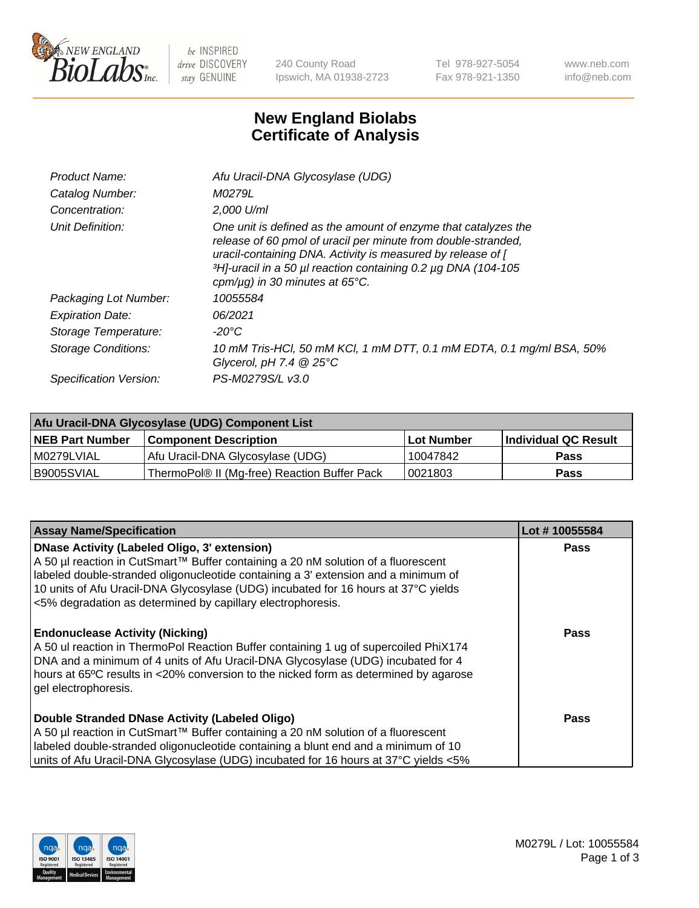

 $be$  INSPIRED drive DISCOVERY stay GENUINE

240 County Road Ipswich, MA 01938-2723 Tel 978-927-5054 Fax 978-921-1350 www.neb.com info@neb.com

## **New England Biolabs Certificate of Analysis**

| Afu Uracil-DNA Glycosylase (UDG)                                                                                                                                                                                                                                                                        |
|---------------------------------------------------------------------------------------------------------------------------------------------------------------------------------------------------------------------------------------------------------------------------------------------------------|
| M0279L                                                                                                                                                                                                                                                                                                  |
| $2.000$ U/ml                                                                                                                                                                                                                                                                                            |
| One unit is defined as the amount of enzyme that catalyzes the<br>release of 60 pmol of uracil per minute from double-stranded,<br>uracil-containing DNA. Activity is measured by release of [<br>3H]-uracil in a 50 µl reaction containing 0.2 µg DNA (104-105<br>cpm/ $\mu$ g) in 30 minutes at 65°C. |
| 10055584                                                                                                                                                                                                                                                                                                |
| 06/2021                                                                                                                                                                                                                                                                                                 |
| -20°C                                                                                                                                                                                                                                                                                                   |
| 10 mM Tris-HCl, 50 mM KCl, 1 mM DTT, 0.1 mM EDTA, 0.1 mg/ml BSA, 50%<br>Glycerol, pH 7.4 $@25^{\circ}C$                                                                                                                                                                                                 |
| PS-M0279S/L v3.0                                                                                                                                                                                                                                                                                        |
|                                                                                                                                                                                                                                                                                                         |

| Afu Uracil-DNA Glycosylase (UDG) Component List |                                              |                   |                      |  |  |
|-------------------------------------------------|----------------------------------------------|-------------------|----------------------|--|--|
| <b>NEB Part Number</b>                          | <b>Component Description</b>                 | <b>Lot Number</b> | Individual QC Result |  |  |
| I M0279LVIAL                                    | Afu Uracil-DNA Glycosylase (UDG)             | 10047842          | <b>Pass</b>          |  |  |
| I B9005SVIAL                                    | ThermoPol® II (Mg-free) Reaction Buffer Pack | 10021803          | Pass                 |  |  |

| <b>Assay Name/Specification</b>                                                                                                                                                                                                                                                                                                                                                     | Lot #10055584 |
|-------------------------------------------------------------------------------------------------------------------------------------------------------------------------------------------------------------------------------------------------------------------------------------------------------------------------------------------------------------------------------------|---------------|
| <b>DNase Activity (Labeled Oligo, 3' extension)</b><br>A 50 µl reaction in CutSmart™ Buffer containing a 20 nM solution of a fluorescent<br>labeled double-stranded oligonucleotide containing a 3' extension and a minimum of<br>10 units of Afu Uracil-DNA Glycosylase (UDG) incubated for 16 hours at 37°C yields<br><5% degradation as determined by capillary electrophoresis. | <b>Pass</b>   |
| <b>Endonuclease Activity (Nicking)</b><br>A 50 ul reaction in ThermoPol Reaction Buffer containing 1 ug of supercoiled PhiX174<br>DNA and a minimum of 4 units of Afu Uracil-DNA Glycosylase (UDG) incubated for 4<br>hours at 65°C results in <20% conversion to the nicked form as determined by agarose<br>gel electrophoresis.                                                  | Pass          |
| Double Stranded DNase Activity (Labeled Oligo)<br>A 50 µl reaction in CutSmart™ Buffer containing a 20 nM solution of a fluorescent<br>labeled double-stranded oligonucleotide containing a blunt end and a minimum of 10<br>units of Afu Uracil-DNA Glycosylase (UDG) incubated for 16 hours at 37°C yields <5%                                                                    | Pass          |

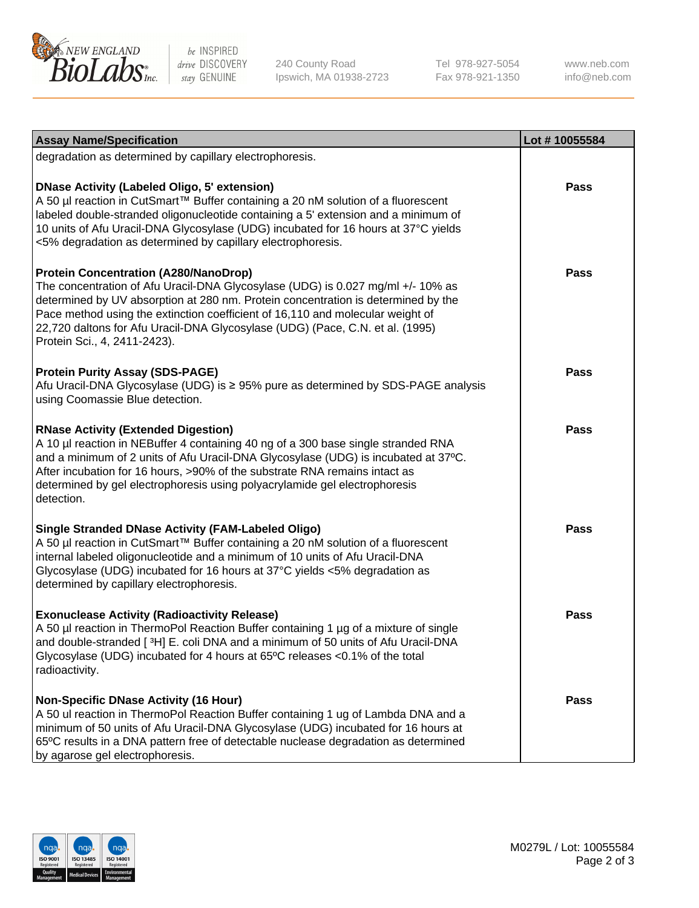

be INSPIRED drive DISCOVERY stay GENUINE

240 County Road Ipswich, MA 01938-2723 Tel 978-927-5054 Fax 978-921-1350

www.neb.com info@neb.com

| <b>Assay Name/Specification</b>                                                                                                                                                                                                                                                                                                                                                                                         | Lot #10055584 |
|-------------------------------------------------------------------------------------------------------------------------------------------------------------------------------------------------------------------------------------------------------------------------------------------------------------------------------------------------------------------------------------------------------------------------|---------------|
| degradation as determined by capillary electrophoresis.                                                                                                                                                                                                                                                                                                                                                                 |               |
| <b>DNase Activity (Labeled Oligo, 5' extension)</b><br>A 50 µl reaction in CutSmart™ Buffer containing a 20 nM solution of a fluorescent<br>labeled double-stranded oligonucleotide containing a 5' extension and a minimum of<br>10 units of Afu Uracil-DNA Glycosylase (UDG) incubated for 16 hours at 37°C yields<br><5% degradation as determined by capillary electrophoresis.                                     | <b>Pass</b>   |
| <b>Protein Concentration (A280/NanoDrop)</b><br>The concentration of Afu Uracil-DNA Glycosylase (UDG) is 0.027 mg/ml +/- 10% as<br>determined by UV absorption at 280 nm. Protein concentration is determined by the<br>Pace method using the extinction coefficient of 16,110 and molecular weight of<br>22,720 daltons for Afu Uracil-DNA Glycosylase (UDG) (Pace, C.N. et al. (1995)<br>Protein Sci., 4, 2411-2423). | <b>Pass</b>   |
| <b>Protein Purity Assay (SDS-PAGE)</b><br>Afu Uracil-DNA Glycosylase (UDG) is ≥ 95% pure as determined by SDS-PAGE analysis<br>using Coomassie Blue detection.                                                                                                                                                                                                                                                          | Pass          |
| <b>RNase Activity (Extended Digestion)</b><br>A 10 µl reaction in NEBuffer 4 containing 40 ng of a 300 base single stranded RNA<br>and a minimum of 2 units of Afu Uracil-DNA Glycosylase (UDG) is incubated at 37°C.<br>After incubation for 16 hours, >90% of the substrate RNA remains intact as<br>determined by gel electrophoresis using polyacrylamide gel electrophoresis<br>detection.                         | <b>Pass</b>   |
| <b>Single Stranded DNase Activity (FAM-Labeled Oligo)</b><br>A 50 µl reaction in CutSmart™ Buffer containing a 20 nM solution of a fluorescent<br>internal labeled oligonucleotide and a minimum of 10 units of Afu Uracil-DNA<br>Glycosylase (UDG) incubated for 16 hours at 37°C yields <5% degradation as<br>determined by capillary electrophoresis.                                                                | <b>Pass</b>   |
| <b>Exonuclease Activity (Radioactivity Release)</b><br>A 50 µl reaction in ThermoPol Reaction Buffer containing 1 µg of a mixture of single<br>and double-stranded [3H] E. coli DNA and a minimum of 50 units of Afu Uracil-DNA<br>Glycosylase (UDG) incubated for 4 hours at 65°C releases <0.1% of the total<br>radioactivity.                                                                                        | <b>Pass</b>   |
| <b>Non-Specific DNase Activity (16 Hour)</b><br>A 50 ul reaction in ThermoPol Reaction Buffer containing 1 ug of Lambda DNA and a<br>minimum of 50 units of Afu Uracil-DNA Glycosylase (UDG) incubated for 16 hours at<br>65°C results in a DNA pattern free of detectable nuclease degradation as determined<br>by agarose gel electrophoresis.                                                                        | Pass          |